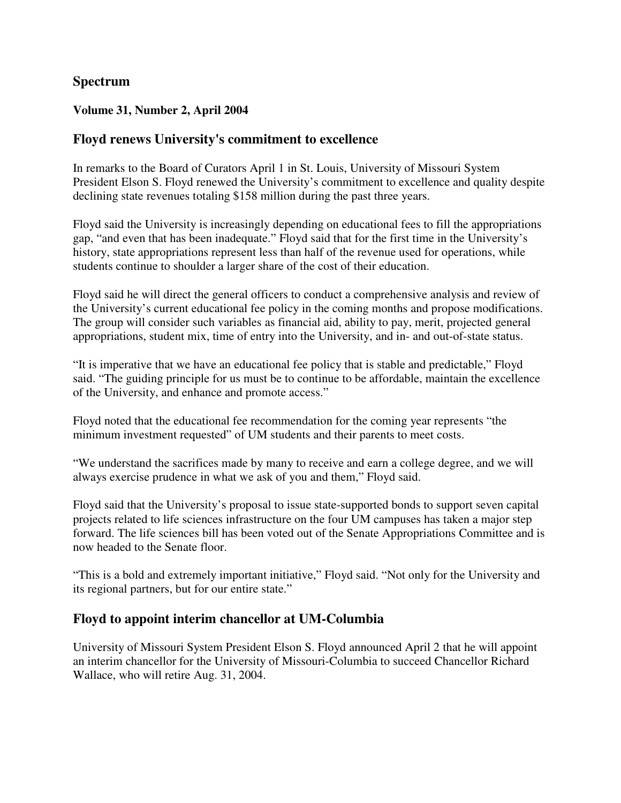# **Spectrum**

### **Volume 31, Number 2, April 2004**

# **Floyd renews University's commitment to excellence**

In remarks to the Board of Curators April 1 in St. Louis, University of Missouri System President Elson S. Floyd renewed the University's commitment to excellence and quality despite declining state revenues totaling \$158 million during the past three years.

Floyd said the University is increasingly depending on educational fees to fill the appropriations gap, "and even that has been inadequate." Floyd said that for the first time in the University's history, state appropriations represent less than half of the revenue used for operations, while students continue to shoulder a larger share of the cost of their education.

Floyd said he will direct the general officers to conduct a comprehensive analysis and review of the University's current educational fee policy in the coming months and propose modifications. The group will consider such variables as financial aid, ability to pay, merit, projected general appropriations, student mix, time of entry into the University, and in- and out-of-state status.

"It is imperative that we have an educational fee policy that is stable and predictable," Floyd said. "The guiding principle for us must be to continue to be affordable, maintain the excellence of the University, and enhance and promote access."

Floyd noted that the educational fee recommendation for the coming year represents "the minimum investment requested" of UM students and their parents to meet costs.

"We understand the sacrifices made by many to receive and earn a college degree, and we will always exercise prudence in what we ask of you and them," Floyd said.

Floyd said that the University's proposal to issue state-supported bonds to support seven capital projects related to life sciences infrastructure on the four UM campuses has taken a major step forward. The life sciences bill has been voted out of the Senate Appropriations Committee and is now headed to the Senate floor.

"This is a bold and extremely important initiative," Floyd said. "Not only for the University and its regional partners, but for our entire state."

# **Floyd to appoint interim chancellor at UM-Columbia**

University of Missouri System President Elson S. Floyd announced April 2 that he will appoint an interim chancellor for the University of Missouri-Columbia to succeed Chancellor Richard Wallace, who will retire Aug. 31, 2004.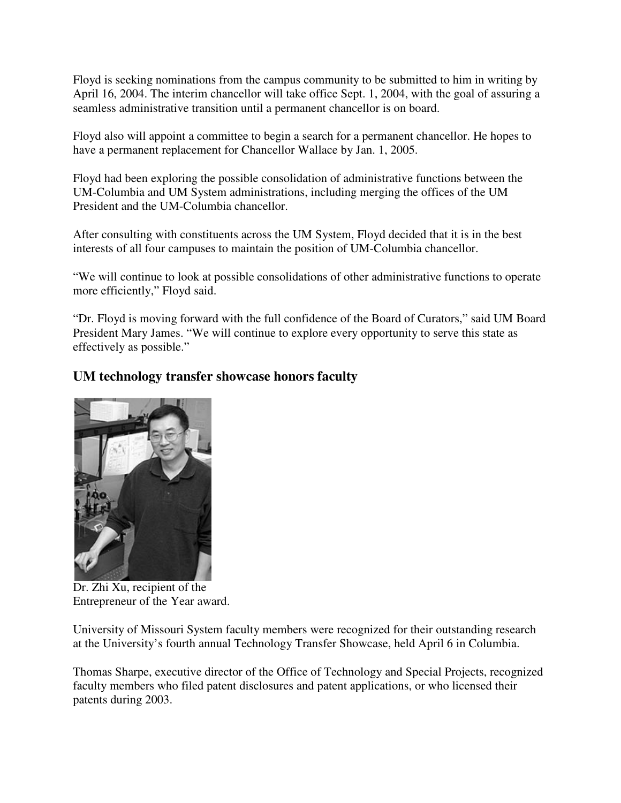Floyd is seeking nominations from the campus community to be submitted to him in writing by April 16, 2004. The interim chancellor will take office Sept. 1, 2004, with the goal of assuring a seamless administrative transition until a permanent chancellor is on board.

Floyd also will appoint a committee to begin a search for a permanent chancellor. He hopes to have a permanent replacement for Chancellor Wallace by Jan. 1, 2005.

Floyd had been exploring the possible consolidation of administrative functions between the UM-Columbia and UM System administrations, including merging the offices of the UM President and the UM-Columbia chancellor.

After consulting with constituents across the UM System, Floyd decided that it is in the best interests of all four campuses to maintain the position of UM-Columbia chancellor.

"We will continue to look at possible consolidations of other administrative functions to operate more efficiently," Floyd said.

"Dr. Floyd is moving forward with the full confidence of the Board of Curators," said UM Board President Mary James. "We will continue to explore every opportunity to serve this state as effectively as possible."

# **UM technology transfer showcase honors faculty**



Dr. Zhi Xu, recipient of the Entrepreneur of the Year award.

University of Missouri System faculty members were recognized for their outstanding research at the University's fourth annual Technology Transfer Showcase, held April 6 in Columbia.

Thomas Sharpe, executive director of the Office of Technology and Special Projects, recognized faculty members who filed patent disclosures and patent applications, or who licensed their patents during 2003.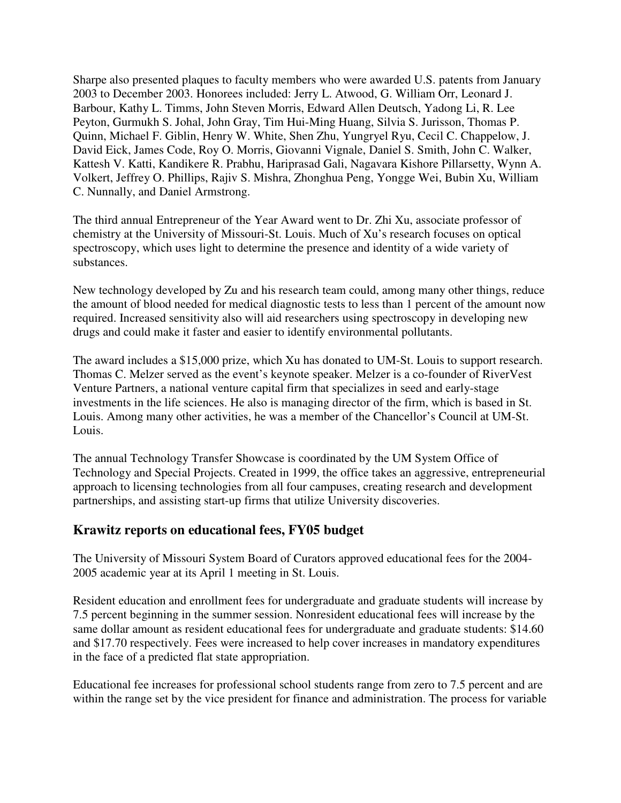Sharpe also presented plaques to faculty members who were awarded U.S. patents from January 2003 to December 2003. Honorees included: Jerry L. Atwood, G. William Orr, Leonard J. Barbour, Kathy L. Timms, John Steven Morris, Edward Allen Deutsch, Yadong Li, R. Lee Peyton, Gurmukh S. Johal, John Gray, Tim Hui-Ming Huang, Silvia S. Jurisson, Thomas P. Quinn, Michael F. Giblin, Henry W. White, Shen Zhu, Yungryel Ryu, Cecil C. Chappelow, J. David Eick, James Code, Roy O. Morris, Giovanni Vignale, Daniel S. Smith, John C. Walker, Kattesh V. Katti, Kandikere R. Prabhu, Hariprasad Gali, Nagavara Kishore Pillarsetty, Wynn A. Volkert, Jeffrey O. Phillips, Rajiv S. Mishra, Zhonghua Peng, Yongge Wei, Bubin Xu, William C. Nunnally, and Daniel Armstrong.

The third annual Entrepreneur of the Year Award went to Dr. Zhi Xu, associate professor of chemistry at the University of Missouri-St. Louis. Much of Xu's research focuses on optical spectroscopy, which uses light to determine the presence and identity of a wide variety of substances.

New technology developed by Zu and his research team could, among many other things, reduce the amount of blood needed for medical diagnostic tests to less than 1 percent of the amount now required. Increased sensitivity also will aid researchers using spectroscopy in developing new drugs and could make it faster and easier to identify environmental pollutants.

The award includes a \$15,000 prize, which Xu has donated to UM-St. Louis to support research. Thomas C. Melzer served as the event's keynote speaker. Melzer is a co-founder of RiverVest Venture Partners, a national venture capital firm that specializes in seed and early-stage investments in the life sciences. He also is managing director of the firm, which is based in St. Louis. Among many other activities, he was a member of the Chancellor's Council at UM-St. Louis.

The annual Technology Transfer Showcase is coordinated by the UM System Office of Technology and Special Projects. Created in 1999, the office takes an aggressive, entrepreneurial approach to licensing technologies from all four campuses, creating research and development partnerships, and assisting start-up firms that utilize University discoveries.

# **Krawitz reports on educational fees, FY05 budget**

The University of Missouri System Board of Curators approved educational fees for the 2004- 2005 academic year at its April 1 meeting in St. Louis.

Resident education and enrollment fees for undergraduate and graduate students will increase by 7.5 percent beginning in the summer session. Nonresident educational fees will increase by the same dollar amount as resident educational fees for undergraduate and graduate students: \$14.60 and \$17.70 respectively. Fees were increased to help cover increases in mandatory expenditures in the face of a predicted flat state appropriation.

Educational fee increases for professional school students range from zero to 7.5 percent and are within the range set by the vice president for finance and administration. The process for variable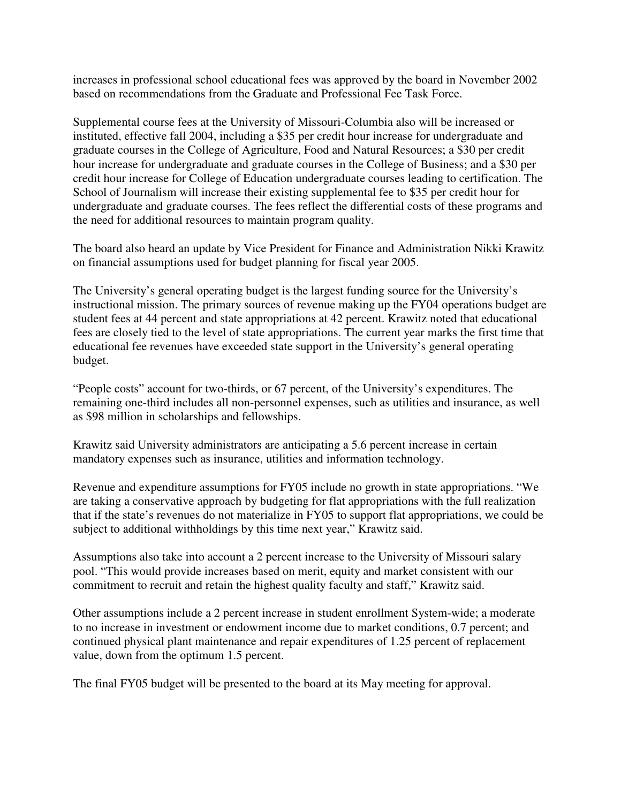increases in professional school educational fees was approved by the board in November 2002 based on recommendations from the Graduate and Professional Fee Task Force.

Supplemental course fees at the University of Missouri-Columbia also will be increased or instituted, effective fall 2004, including a \$35 per credit hour increase for undergraduate and graduate courses in the College of Agriculture, Food and Natural Resources; a \$30 per credit hour increase for undergraduate and graduate courses in the College of Business; and a \$30 per credit hour increase for College of Education undergraduate courses leading to certification. The School of Journalism will increase their existing supplemental fee to \$35 per credit hour for undergraduate and graduate courses. The fees reflect the differential costs of these programs and the need for additional resources to maintain program quality.

The board also heard an update by Vice President for Finance and Administration Nikki Krawitz on financial assumptions used for budget planning for fiscal year 2005.

The University's general operating budget is the largest funding source for the University's instructional mission. The primary sources of revenue making up the FY04 operations budget are student fees at 44 percent and state appropriations at 42 percent. Krawitz noted that educational fees are closely tied to the level of state appropriations. The current year marks the first time that educational fee revenues have exceeded state support in the University's general operating budget.

"People costs" account for two-thirds, or 67 percent, of the University's expenditures. The remaining one-third includes all non-personnel expenses, such as utilities and insurance, as well as \$98 million in scholarships and fellowships.

Krawitz said University administrators are anticipating a 5.6 percent increase in certain mandatory expenses such as insurance, utilities and information technology.

Revenue and expenditure assumptions for FY05 include no growth in state appropriations. "We are taking a conservative approach by budgeting for flat appropriations with the full realization that if the state's revenues do not materialize in FY05 to support flat appropriations, we could be subject to additional withholdings by this time next year," Krawitz said.

Assumptions also take into account a 2 percent increase to the University of Missouri salary pool. "This would provide increases based on merit, equity and market consistent with our commitment to recruit and retain the highest quality faculty and staff," Krawitz said.

Other assumptions include a 2 percent increase in student enrollment System-wide; a moderate to no increase in investment or endowment income due to market conditions, 0.7 percent; and continued physical plant maintenance and repair expenditures of 1.25 percent of replacement value, down from the optimum 1.5 percent.

The final FY05 budget will be presented to the board at its May meeting for approval.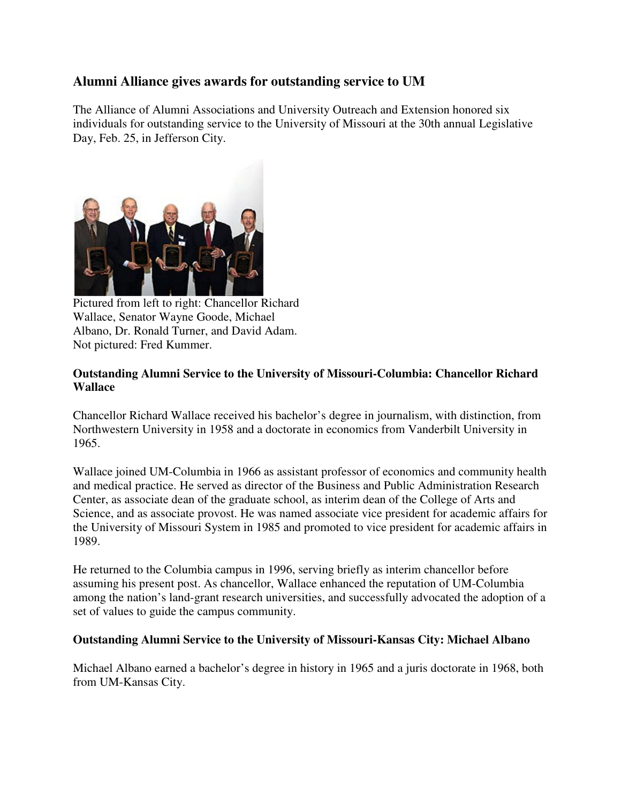# **Alumni Alliance gives awards for outstanding service to UM**

The Alliance of Alumni Associations and University Outreach and Extension honored six individuals for outstanding service to the University of Missouri at the 30th annual Legislative Day, Feb. 25, in Jefferson City.



Pictured from left to right: Chancellor Richard Wallace, Senator Wayne Goode, Michael Albano, Dr. Ronald Turner, and David Adam. Not pictured: Fred Kummer.

## **Outstanding Alumni Service to the University of Missouri-Columbia: Chancellor Richard Wallace**

Chancellor Richard Wallace received his bachelor's degree in journalism, with distinction, from Northwestern University in 1958 and a doctorate in economics from Vanderbilt University in 1965.

Wallace joined UM-Columbia in 1966 as assistant professor of economics and community health and medical practice. He served as director of the Business and Public Administration Research Center, as associate dean of the graduate school, as interim dean of the College of Arts and Science, and as associate provost. He was named associate vice president for academic affairs for the University of Missouri System in 1985 and promoted to vice president for academic affairs in 1989.

He returned to the Columbia campus in 1996, serving briefly as interim chancellor before assuming his present post. As chancellor, Wallace enhanced the reputation of UM-Columbia among the nation's land-grant research universities, and successfully advocated the adoption of a set of values to guide the campus community.

#### **Outstanding Alumni Service to the University of Missouri-Kansas City: Michael Albano**

Michael Albano earned a bachelor's degree in history in 1965 and a juris doctorate in 1968, both from UM-Kansas City.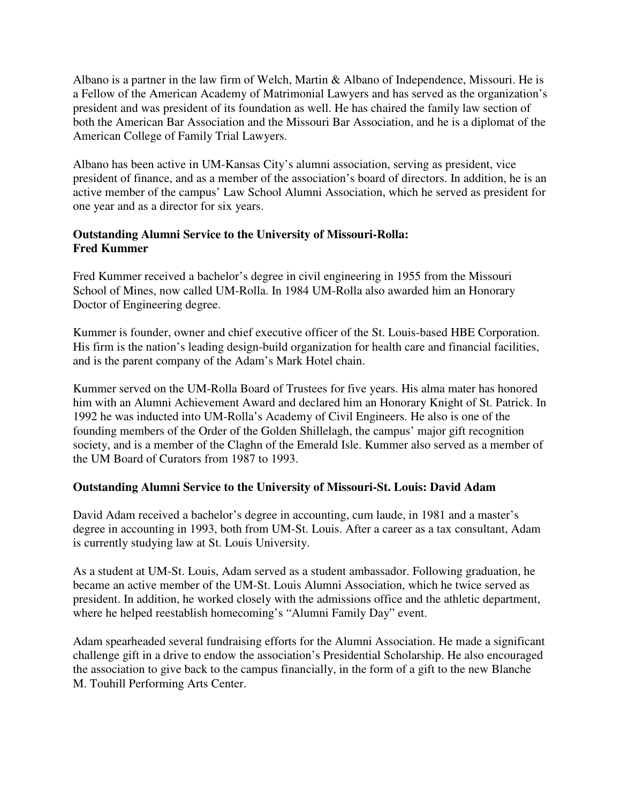Albano is a partner in the law firm of Welch, Martin & Albano of Independence, Missouri. He is a Fellow of the American Academy of Matrimonial Lawyers and has served as the organization's president and was president of its foundation as well. He has chaired the family law section of both the American Bar Association and the Missouri Bar Association, and he is a diplomat of the American College of Family Trial Lawyers.

Albano has been active in UM-Kansas City's alumni association, serving as president, vice president of finance, and as a member of the association's board of directors. In addition, he is an active member of the campus' Law School Alumni Association, which he served as president for one year and as a director for six years.

### **Outstanding Alumni Service to the University of Missouri-Rolla: Fred Kummer**

Fred Kummer received a bachelor's degree in civil engineering in 1955 from the Missouri School of Mines, now called UM-Rolla. In 1984 UM-Rolla also awarded him an Honorary Doctor of Engineering degree.

Kummer is founder, owner and chief executive officer of the St. Louis-based HBE Corporation. His firm is the nation's leading design-build organization for health care and financial facilities, and is the parent company of the Adam's Mark Hotel chain.

Kummer served on the UM-Rolla Board of Trustees for five years. His alma mater has honored him with an Alumni Achievement Award and declared him an Honorary Knight of St. Patrick. In 1992 he was inducted into UM-Rolla's Academy of Civil Engineers. He also is one of the founding members of the Order of the Golden Shillelagh, the campus' major gift recognition society, and is a member of the Claghn of the Emerald Isle. Kummer also served as a member of the UM Board of Curators from 1987 to 1993.

### **Outstanding Alumni Service to the University of Missouri-St. Louis: David Adam**

David Adam received a bachelor's degree in accounting, cum laude, in 1981 and a master's degree in accounting in 1993, both from UM-St. Louis. After a career as a tax consultant, Adam is currently studying law at St. Louis University.

As a student at UM-St. Louis, Adam served as a student ambassador. Following graduation, he became an active member of the UM-St. Louis Alumni Association, which he twice served as president. In addition, he worked closely with the admissions office and the athletic department, where he helped reestablish homecoming's "Alumni Family Day" event.

Adam spearheaded several fundraising efforts for the Alumni Association. He made a significant challenge gift in a drive to endow the association's Presidential Scholarship. He also encouraged the association to give back to the campus financially, in the form of a gift to the new Blanche M. Touhill Performing Arts Center.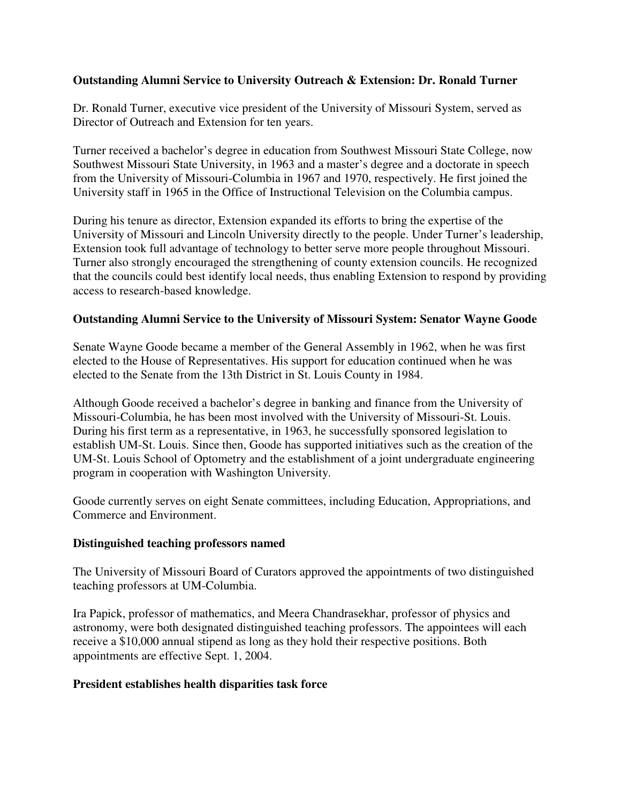#### **Outstanding Alumni Service to University Outreach & Extension: Dr. Ronald Turner**

Dr. Ronald Turner, executive vice president of the University of Missouri System, served as Director of Outreach and Extension for ten years.

Turner received a bachelor's degree in education from Southwest Missouri State College, now Southwest Missouri State University, in 1963 and a master's degree and a doctorate in speech from the University of Missouri-Columbia in 1967 and 1970, respectively. He first joined the University staff in 1965 in the Office of Instructional Television on the Columbia campus.

During his tenure as director, Extension expanded its efforts to bring the expertise of the University of Missouri and Lincoln University directly to the people. Under Turner's leadership, Extension took full advantage of technology to better serve more people throughout Missouri. Turner also strongly encouraged the strengthening of county extension councils. He recognized that the councils could best identify local needs, thus enabling Extension to respond by providing access to research-based knowledge.

#### **Outstanding Alumni Service to the University of Missouri System: Senator Wayne Goode**

Senate Wayne Goode became a member of the General Assembly in 1962, when he was first elected to the House of Representatives. His support for education continued when he was elected to the Senate from the 13th District in St. Louis County in 1984.

Although Goode received a bachelor's degree in banking and finance from the University of Missouri-Columbia, he has been most involved with the University of Missouri-St. Louis. During his first term as a representative, in 1963, he successfully sponsored legislation to establish UM-St. Louis. Since then, Goode has supported initiatives such as the creation of the UM-St. Louis School of Optometry and the establishment of a joint undergraduate engineering program in cooperation with Washington University.

Goode currently serves on eight Senate committees, including Education, Appropriations, and Commerce and Environment.

#### **Distinguished teaching professors named**

The University of Missouri Board of Curators approved the appointments of two distinguished teaching professors at UM-Columbia.

Ira Papick, professor of mathematics, and Meera Chandrasekhar, professor of physics and astronomy, were both designated distinguished teaching professors. The appointees will each receive a \$10,000 annual stipend as long as they hold their respective positions. Both appointments are effective Sept. 1, 2004.

#### **President establishes health disparities task force**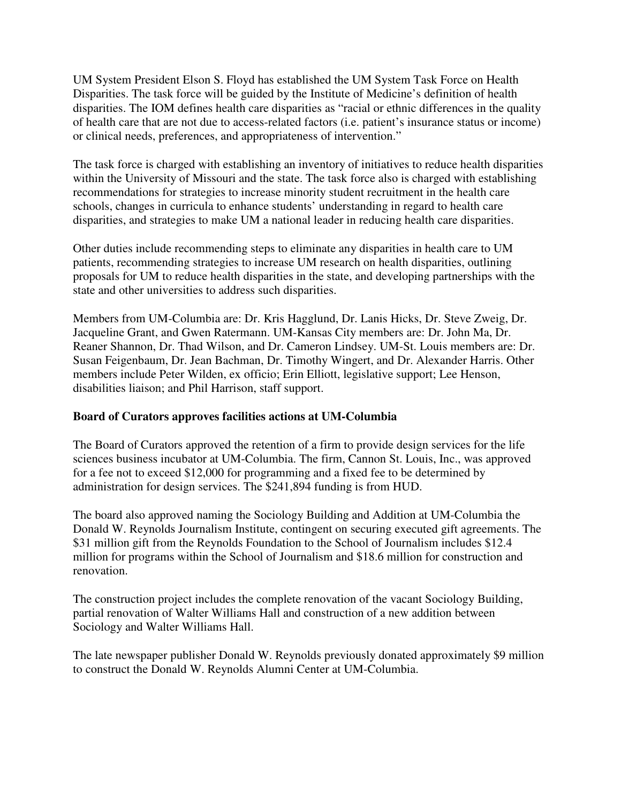UM System President Elson S. Floyd has established the UM System Task Force on Health Disparities. The task force will be guided by the Institute of Medicine's definition of health disparities. The IOM defines health care disparities as "racial or ethnic differences in the quality of health care that are not due to access-related factors (i.e. patient's insurance status or income) or clinical needs, preferences, and appropriateness of intervention."

The task force is charged with establishing an inventory of initiatives to reduce health disparities within the University of Missouri and the state. The task force also is charged with establishing recommendations for strategies to increase minority student recruitment in the health care schools, changes in curricula to enhance students' understanding in regard to health care disparities, and strategies to make UM a national leader in reducing health care disparities.

Other duties include recommending steps to eliminate any disparities in health care to UM patients, recommending strategies to increase UM research on health disparities, outlining proposals for UM to reduce health disparities in the state, and developing partnerships with the state and other universities to address such disparities.

Members from UM-Columbia are: Dr. Kris Hagglund, Dr. Lanis Hicks, Dr. Steve Zweig, Dr. Jacqueline Grant, and Gwen Ratermann. UM-Kansas City members are: Dr. John Ma, Dr. Reaner Shannon, Dr. Thad Wilson, and Dr. Cameron Lindsey. UM-St. Louis members are: Dr. Susan Feigenbaum, Dr. Jean Bachman, Dr. Timothy Wingert, and Dr. Alexander Harris. Other members include Peter Wilden, ex officio; Erin Elliott, legislative support; Lee Henson, disabilities liaison; and Phil Harrison, staff support.

### **Board of Curators approves facilities actions at UM-Columbia**

The Board of Curators approved the retention of a firm to provide design services for the life sciences business incubator at UM-Columbia. The firm, Cannon St. Louis, Inc., was approved for a fee not to exceed \$12,000 for programming and a fixed fee to be determined by administration for design services. The \$241,894 funding is from HUD.

The board also approved naming the Sociology Building and Addition at UM-Columbia the Donald W. Reynolds Journalism Institute, contingent on securing executed gift agreements. The \$31 million gift from the Reynolds Foundation to the School of Journalism includes \$12.4 million for programs within the School of Journalism and \$18.6 million for construction and renovation.

The construction project includes the complete renovation of the vacant Sociology Building, partial renovation of Walter Williams Hall and construction of a new addition between Sociology and Walter Williams Hall.

The late newspaper publisher Donald W. Reynolds previously donated approximately \$9 million to construct the Donald W. Reynolds Alumni Center at UM-Columbia.